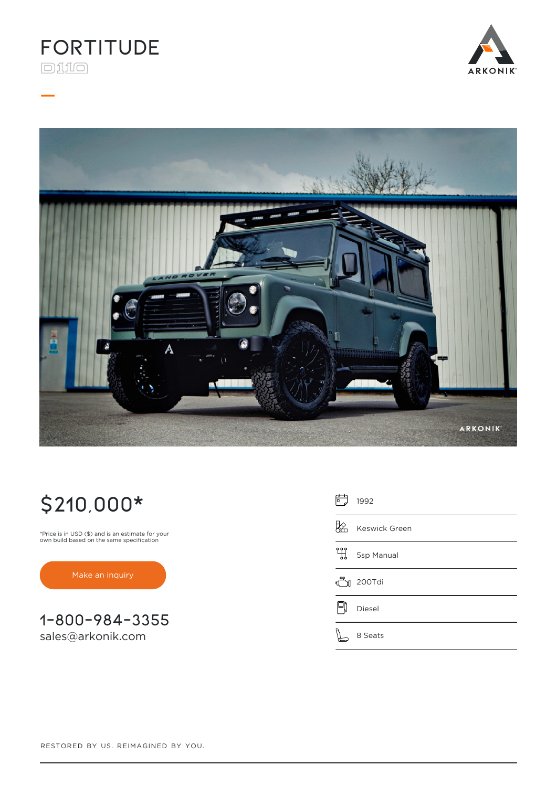

**\_**





# **\$210,000\***

\*Price is in USD (\$) and is an estimate for your own build based on the same specification

[Make an inquiry](https://www.arkonik.com/custom-defenders/691/fortitude-land-rover-d110-defender/#inquiry)

**1-800-984-3355** [sales@arkonik.com](mailto:sales@arkonik.com)

| 屵 | 1992          |
|---|---------------|
|   | Keswick Green |
| 밲 | 5sp Manual    |
|   | 200Tdi        |
|   | Diesel        |
|   | 8 Seats       |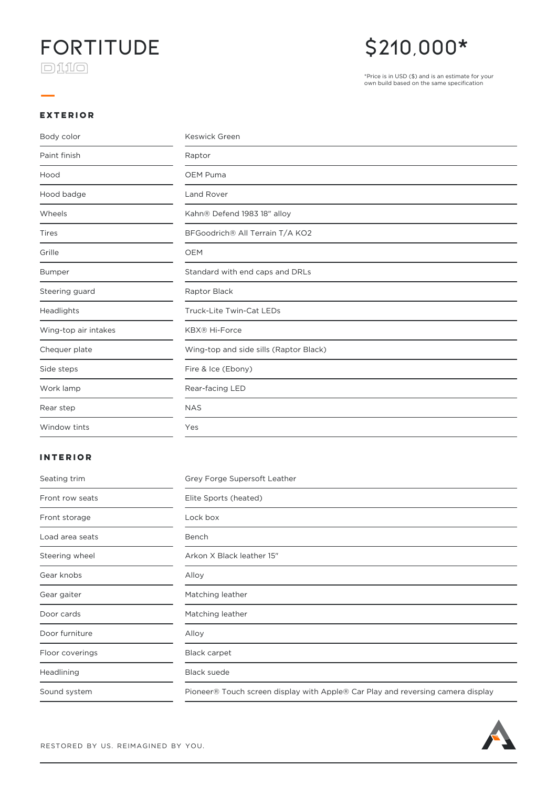### **Fortitude**  $\Box 110$

**\_**

### **\$210,000\***

\*Price is in USD (\$) and is an estimate for your own build based on the same specification

#### **EXTERIOR**

| Body color           | Keswick Green                          |
|----------------------|----------------------------------------|
| Paint finish         | Raptor                                 |
| Hood                 | OEM Puma                               |
| Hood badge           | <b>Land Rover</b>                      |
| Wheels               | Kahn® Defend 1983 18" alloy            |
| Tires                | BFGoodrich® All Terrain T/A KO2        |
| Grille               | <b>OEM</b>                             |
| <b>Bumper</b>        | Standard with end caps and DRLs        |
| Steering guard       | Raptor Black                           |
| Headlights           | Truck-Lite Twin-Cat LEDs               |
| Wing-top air intakes | <b>KBX® Hi-Force</b>                   |
| Chequer plate        | Wing-top and side sills (Raptor Black) |
| Side steps           | Fire & Ice (Ebony)                     |
| Work lamp            | Rear-facing LED                        |
| Rear step            | <b>NAS</b>                             |
| Window tints         | Yes                                    |

#### **INTERIOR**

| Seating trim    | Grey Forge Supersoft Leather                                                    |
|-----------------|---------------------------------------------------------------------------------|
| Front row seats | Elite Sports (heated)                                                           |
| Front storage   | Lock box                                                                        |
| Load area seats | Bench                                                                           |
| Steering wheel  | Arkon X Black leather 15"                                                       |
| Gear knobs      | Alloy                                                                           |
| Gear gaiter     | Matching leather                                                                |
| Door cards      | Matching leather                                                                |
| Door furniture  | Alloy                                                                           |
| Floor coverings | <b>Black carpet</b>                                                             |
| Headlining      | <b>Black suede</b>                                                              |
| Sound system    | Pioneer® Touch screen display with Apple® Car Play and reversing camera display |